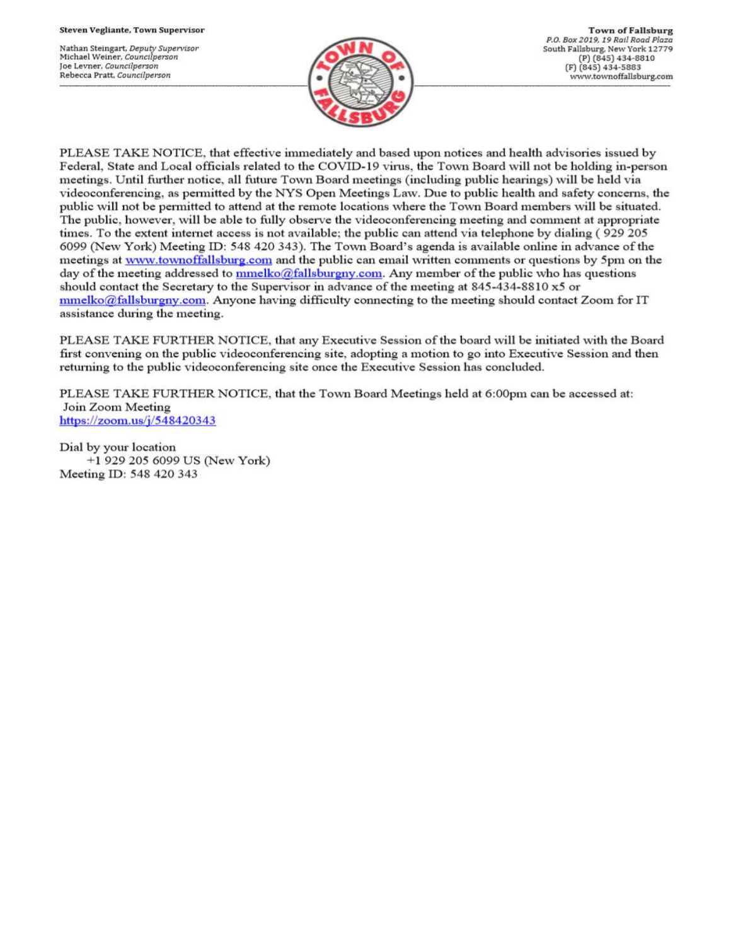Nathan Steingart, Deputy Supervisor Michael Weiner, Councilperson Joe Levner, Councilperson Rebecca Pratt, Councilperson



PLEASE TAKE NOTICE, that effective immediately and based upon notices and health advisories issued by Federal, State and Local officials related to the COVID-19 virus, the Town Board will not be holding in-person meetings. Until further notice, all future Town Board meetings (including public hearings) will be held via videoconferencing, as permitted by the NYS Open Meetings Law. Due to public health and safety concerns, the public will not be permitted to attend at the remote locations where the Town Board members will be situated. The public, however, will be able to fully observe the videoconferencing meeting and comment at appropriate times. To the extent internet access is not available; the public can attend via telephone by dialing (929 205 6099 (New York) Meeting ID: 548 420 343). The Town Board's agenda is available online in advance of the meetings at www.townoffallsburg.com and the public can email written comments or questions by 5pm on the day of the meeting addressed to  $\frac{mmelko@fallsburgny.com}{mclubuygny.com}$ . Any member of the public who has questions should contact the Secretary to the Supervisor in advance of the meeting at 845-434-8810 x5 or  $mmelko@fallsburgny.com.$  Anyone having difficulty connecting to the meeting should contact Zoom for IT assistance during the meeting.

PLEASE TAKE FURTHER NOTICE, that any Executive Session of the board will be initiated with the Board first convening on the public videoconferencing site, adopting a motion to go into Executive Session and then returning to the public videoconferencing site once the Executive Session has concluded.

PLEASE TAKE FURTHER NOTICE, that the Town Board Meetings held at 6:00pm can be accessed at: Join Zoom Meeting https://zoom.us/j/548420343

Dial by your location +1 929 205 6099 US (New York) Meeting ID: 548 420 343